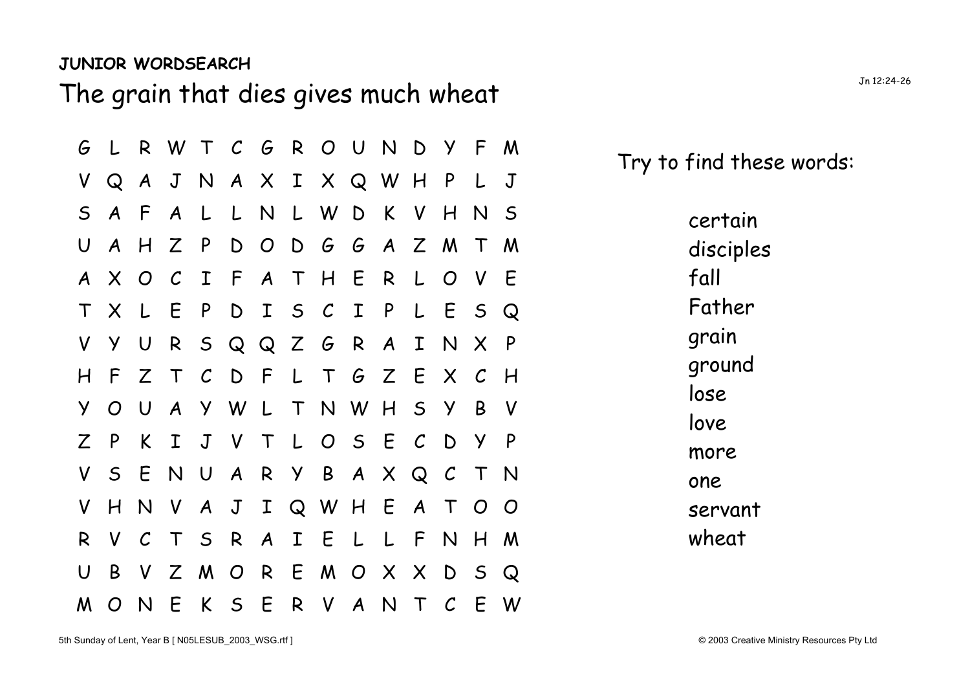## **JUNIOR WORDSEARCH**

The grain that dies gives much wheat  $\sum_{n_1 2:24-26}$ 

| G      | $\perp$        |                  |                  |              |                |               |       |               |                | R W T C G R O U N D Y F M |                           |              |              |                |  |
|--------|----------------|------------------|------------------|--------------|----------------|---------------|-------|---------------|----------------|---------------------------|---------------------------|--------------|--------------|----------------|--|
| V      | $\mathsf{Q}$   | $\boldsymbol{A}$ |                  |              |                |               |       |               |                | J N A X I X Q W H         |                           | P            |              | $\mathsf J$    |  |
| S      | A              | F                | $\boldsymbol{A}$ | L            |                | LN            |       |               |                | LWDKV                     |                           | H            | N            | - S            |  |
| U      | A              | H                | $Z_{\parallel}$  | P            |                | D O           |       |               |                | D G G A Z M               |                           |              | $\top$       | M              |  |
| A      |                | X O              | $\mathcal C$     | $\mathbf I$  | F A            |               | T     | H             | E              | R                         | L                         | O            | $\mathsf{V}$ | E              |  |
| $\top$ | X              | L                | E                | P            | $\mathsf D$    |               | I S C |               | $\mathbf{I}$   | $\mathsf{P}$              | L                         | E            | $\mathsf{S}$ | $\mathsf{Q}$   |  |
| V      | Y              | U                | R                |              |                |               |       | S Q Q Z G R   |                | $\boldsymbol{A}$          | $\mathbf I$               | N            | X            | $\mathsf{P}$   |  |
| H      | F              | $Z_{\cdot}$      | $\top$           | $\mathcal C$ | DFL            |               |       |               |                | T G Z E                   |                           | $\sf X$      | $\mathcal C$ | H              |  |
| У      | $\overline{O}$ | $\cup$           | $\boldsymbol{A}$ |              | Y W L          |               |       | T N W H       |                |                           | S Y                       |              | B            | $\mathsf{V}$   |  |
| Z      | P              | K.               | $\mathbf I$      |              |                |               |       | J V T L O S E |                |                           | $\mathcal{C}$             | D            | $\mathsf{Y}$ | P              |  |
| V      | $\mathsf{S}$   | E                | N                | $\bigcup$    |                |               |       |               |                | ARYBAXQC                  |                           |              | $\top$       | N              |  |
| V      | H              | N                | V A              |              | J              |               |       | IQWHE         |                |                           | $\mathcal{A}$             | T O          |              | $\overline{O}$ |  |
| R      | V              | $\mathcal C$     |                  |              | T S R          | $\mathcal{A}$ |       | I E L         |                | L                         | $\mathsf{F}$              | N            | H            | M              |  |
| U      | B              | V                | Z                | M            | $\overline{O}$ | R             |       | E M           | $\overline{O}$ | $\boldsymbol{\mathsf{X}}$ | $\boldsymbol{\mathsf{X}}$ | D            | $\mathsf{S}$ | $\mathsf{Q}$   |  |
| M      | $\overline{O}$ | N                | E                |              | K S            | E             |       | R V A         |                | N                         | $\top$                    | $\mathcal C$ | E            | W              |  |

Try to find these words:

certain disciples fall Father grain ground lose love more one servant wheat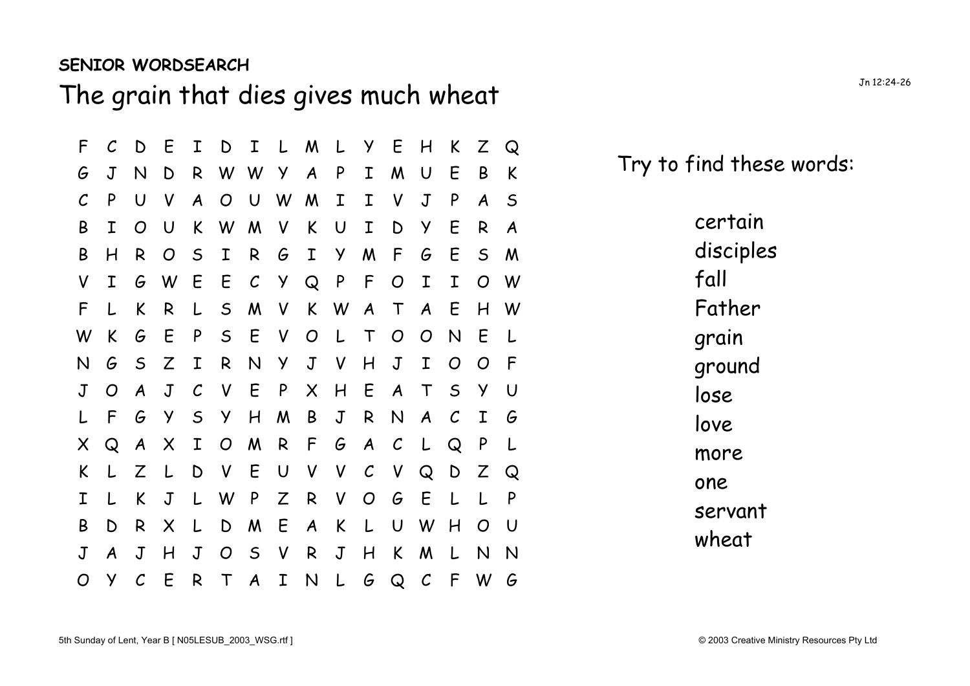## **SENIOR WORDSEARCH**

The grain that dies gives much wheat  $J<sub>n 12:24-26</sub>$ 

F C D E I D I L M L Y E H K Z Q G J N D R W W Y A P I M U E B K C P U V A O U W M I I V J P A S B I O U K W M V K U I D Y E R A B H R O S I R G I Y M F G E S M V I G W E E C Y Q P F O I I O W F L K R L S M V K W A T A E H W W K G E P S E V O L T O O N E L N G S Z I R N Y J V H J I O O F J O A J C V E P X H E A T S Y U L F G Y S Y H M B J R N A C I G X Q A X I O M R F G A C L Q P K L Z L D V E U V V C V Q D Z Q I L K J L W P Z R V O G E L L P B D R X L D M E A K L U W H O U J A J H J O S V R J H K M L N N O Y C E R T A I N L G Q C F W G

Try to find these words:

certain disciples fall Father grain ground lose love more one servant wheat